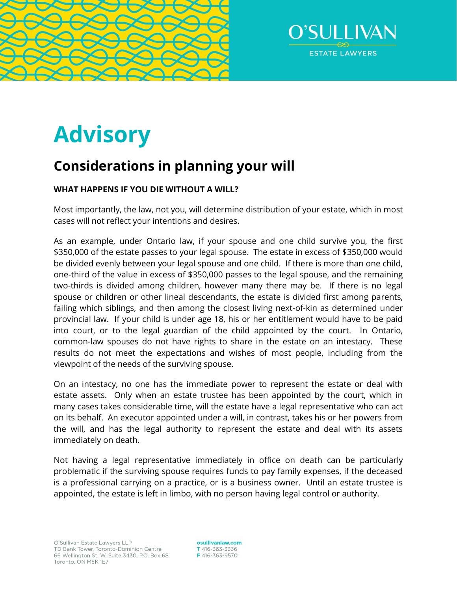



# **Advisory**

## **Considerations in planning your will**

### **WHAT HAPPENS IF YOU DIE WITHOUT A WILL?**

Most importantly, the law, not you, will determine distribution of your estate, which in most cases will not reflect your intentions and desires.

As an example, under Ontario law, if your spouse and one child survive you, the first \$350,000 of the estate passes to your legal spouse. The estate in excess of \$350,000 would be divided evenly between your legal spouse and one child. If there is more than one child, one-third of the value in excess of \$350,000 passes to the legal spouse, and the remaining two-thirds is divided among children, however many there may be. If there is no legal spouse or children or other lineal descendants, the estate is divided first among parents, failing which siblings, and then among the closest living next-of-kin as determined under provincial law. If your child is under age 18, his or her entitlement would have to be paid into court, or to the legal guardian of the child appointed by the court. In Ontario, common-law spouses do not have rights to share in the estate on an intestacy. These results do not meet the expectations and wishes of most people, including from the viewpoint of the needs of the surviving spouse.

On an intestacy, no one has the immediate power to represent the estate or deal with estate assets. Only when an estate trustee has been appointed by the court, which in many cases takes considerable time, will the estate have a legal representative who can act on its behalf. An executor appointed under a will, in contrast, takes his or her powers from the will, and has the legal authority to represent the estate and deal with its assets immediately on death.

Not having a legal representative immediately in office on death can be particularly problematic if the surviving spouse requires funds to pay family expenses, if the deceased is a professional carrying on a practice, or is a business owner. Until an estate trustee is appointed, the estate is left in limbo, with no person having legal control or authority.

osullivanlaw.com T 416-363-3336 F416-363-9570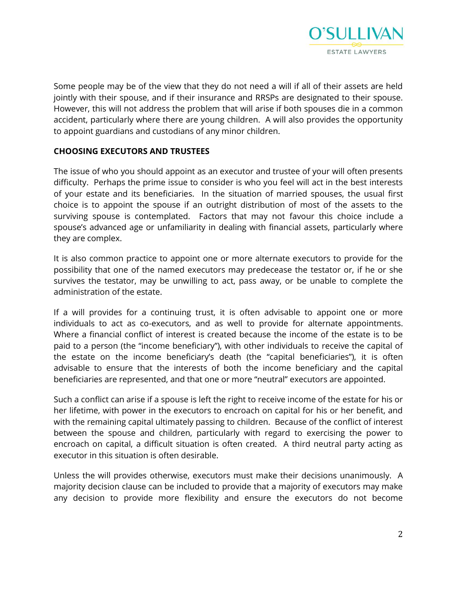

Some people may be of the view that they do not need a will if all of their assets are held jointly with their spouse, and if their insurance and RRSPs are designated to their spouse. However, this will not address the problem that will arise if both spouses die in a common accident, particularly where there are young children. A will also provides the opportunity to appoint guardians and custodians of any minor children.

#### **CHOOSING EXECUTORS AND TRUSTEES**

The issue of who you should appoint as an executor and trustee of your will often presents difficulty. Perhaps the prime issue to consider is who you feel will act in the best interests of your estate and its beneficiaries. In the situation of married spouses, the usual first choice is to appoint the spouse if an outright distribution of most of the assets to the surviving spouse is contemplated. Factors that may not favour this choice include a spouse's advanced age or unfamiliarity in dealing with financial assets, particularly where they are complex.

It is also common practice to appoint one or more alternate executors to provide for the possibility that one of the named executors may predecease the testator or, if he or she survives the testator, may be unwilling to act, pass away, or be unable to complete the administration of the estate.

If a will provides for a continuing trust, it is often advisable to appoint one or more individuals to act as co-executors, and as well to provide for alternate appointments. Where a financial conflict of interest is created because the income of the estate is to be paid to a person (the "income beneficiary"), with other individuals to receive the capital of the estate on the income beneficiary's death (the "capital beneficiaries"), it is often advisable to ensure that the interests of both the income beneficiary and the capital beneficiaries are represented, and that one or more "neutral" executors are appointed.

Such a conflict can arise if a spouse is left the right to receive income of the estate for his or her lifetime, with power in the executors to encroach on capital for his or her benefit, and with the remaining capital ultimately passing to children. Because of the conflict of interest between the spouse and children, particularly with regard to exercising the power to encroach on capital, a difficult situation is often created. A third neutral party acting as executor in this situation is often desirable.

Unless the will provides otherwise, executors must make their decisions unanimously. A majority decision clause can be included to provide that a majority of executors may make any decision to provide more flexibility and ensure the executors do not become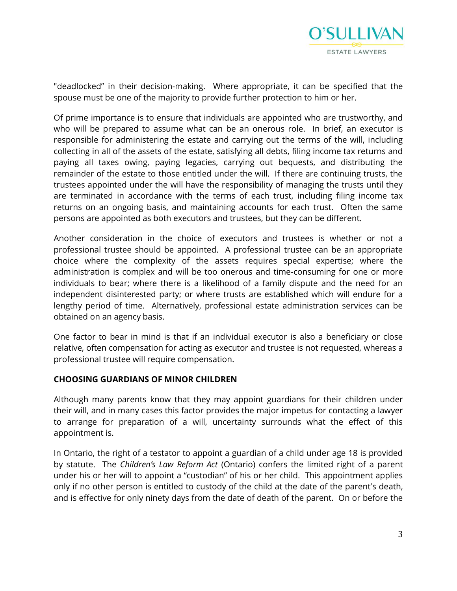

"deadlocked" in their decision-making. Where appropriate, it can be specified that the spouse must be one of the majority to provide further protection to him or her.

Of prime importance is to ensure that individuals are appointed who are trustworthy, and who will be prepared to assume what can be an onerous role. In brief, an executor is responsible for administering the estate and carrying out the terms of the will, including collecting in all of the assets of the estate, satisfying all debts, filing income tax returns and paying all taxes owing, paying legacies, carrying out bequests, and distributing the remainder of the estate to those entitled under the will. If there are continuing trusts, the trustees appointed under the will have the responsibility of managing the trusts until they are terminated in accordance with the terms of each trust, including filing income tax returns on an ongoing basis, and maintaining accounts for each trust. Often the same persons are appointed as both executors and trustees, but they can be different.

Another consideration in the choice of executors and trustees is whether or not a professional trustee should be appointed. A professional trustee can be an appropriate choice where the complexity of the assets requires special expertise; where the administration is complex and will be too onerous and time-consuming for one or more individuals to bear; where there is a likelihood of a family dispute and the need for an independent disinterested party; or where trusts are established which will endure for a lengthy period of time. Alternatively, professional estate administration services can be obtained on an agency basis.

One factor to bear in mind is that if an individual executor is also a beneficiary or close relative, often compensation for acting as executor and trustee is not requested, whereas a professional trustee will require compensation.

#### **CHOOSING GUARDIANS OF MINOR CHILDREN**

Although many parents know that they may appoint guardians for their children under their will, and in many cases this factor provides the major impetus for contacting a lawyer to arrange for preparation of a will, uncertainty surrounds what the effect of this appointment is.

In Ontario, the right of a testator to appoint a guardian of a child under age 18 is provided by statute. The *Children's Law Reform Act* (Ontario) confers the limited right of a parent under his or her will to appoint a "custodian" of his or her child. This appointment applies only if no other person is entitled to custody of the child at the date of the parent's death, and is effective for only ninety days from the date of death of the parent. On or before the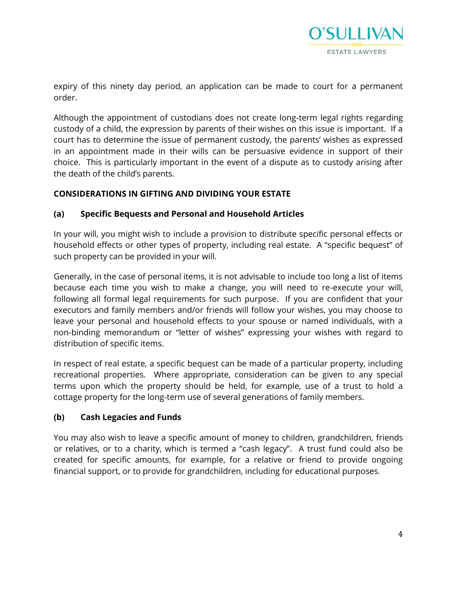

expiry of this ninety day period, an application can be made to court for a permanent order.

Although the appointment of custodians does not create long-term legal rights regarding custody of a child, the expression by parents of their wishes on this issue is important. If a court has to determine the issue of permanent custody, the parents' wishes as expressed in an appointment made in their wills can be persuasive evidence in support of their choice. This is particularly important in the event of a dispute as to custody arising after the death of the child's parents.

#### **CONSIDERATIONS IN GIFTING AND DIVIDING YOUR ESTATE**

#### **(a) Specific Bequests and Personal and Household Articles**

In your will, you might wish to include a provision to distribute specific personal effects or household effects or other types of property, including real estate. A "specific bequest" of such property can be provided in your will.

Generally, in the case of personal items, it is not advisable to include too long a list of items because each time you wish to make a change, you will need to re-execute your will, following all formal legal requirements for such purpose. If you are confident that your executors and family members and/or friends will follow your wishes, you may choose to leave your personal and household effects to your spouse or named individuals, with a non-binding memorandum or "letter of wishes" expressing your wishes with regard to distribution of specific items.

In respect of real estate, a specific bequest can be made of a particular property, including recreational properties. Where appropriate, consideration can be given to any special terms upon which the property should be held, for example, use of a trust to hold a cottage property for the long-term use of several generations of family members.

#### **(b) Cash Legacies and Funds**

You may also wish to leave a specific amount of money to children, grandchildren, friends or relatives, or to a charity, which is termed a "cash legacy". A trust fund could also be created for specific amounts, for example, for a relative or friend to provide ongoing financial support, or to provide for grandchildren, including for educational purposes.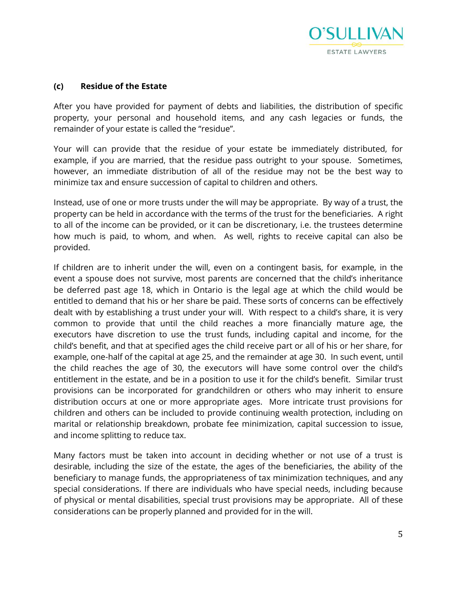

#### **(c) Residue of the Estate**

After you have provided for payment of debts and liabilities, the distribution of specific property, your personal and household items, and any cash legacies or funds, the remainder of your estate is called the "residue".

Your will can provide that the residue of your estate be immediately distributed, for example, if you are married, that the residue pass outright to your spouse. Sometimes, however, an immediate distribution of all of the residue may not be the best way to minimize tax and ensure succession of capital to children and others.

Instead, use of one or more trusts under the will may be appropriate. By way of a trust, the property can be held in accordance with the terms of the trust for the beneficiaries. A right to all of the income can be provided, or it can be discretionary, i.e. the trustees determine how much is paid, to whom, and when. As well, rights to receive capital can also be provided.

If children are to inherit under the will, even on a contingent basis, for example, in the event a spouse does not survive, most parents are concerned that the child's inheritance be deferred past age 18, which in Ontario is the legal age at which the child would be entitled to demand that his or her share be paid. These sorts of concerns can be effectively dealt with by establishing a trust under your will. With respect to a child's share, it is very common to provide that until the child reaches a more financially mature age, the executors have discretion to use the trust funds, including capital and income, for the child's benefit, and that at specified ages the child receive part or all of his or her share, for example, one-half of the capital at age 25, and the remainder at age 30. In such event, until the child reaches the age of 30, the executors will have some control over the child's entitlement in the estate, and be in a position to use it for the child's benefit. Similar trust provisions can be incorporated for grandchildren or others who may inherit to ensure distribution occurs at one or more appropriate ages. More intricate trust provisions for children and others can be included to provide continuing wealth protection, including on marital or relationship breakdown, probate fee minimization, capital succession to issue, and income splitting to reduce tax.

Many factors must be taken into account in deciding whether or not use of a trust is desirable, including the size of the estate, the ages of the beneficiaries, the ability of the beneficiary to manage funds, the appropriateness of tax minimization techniques, and any special considerations. If there are individuals who have special needs, including because of physical or mental disabilities, special trust provisions may be appropriate. All of these considerations can be properly planned and provided for in the will.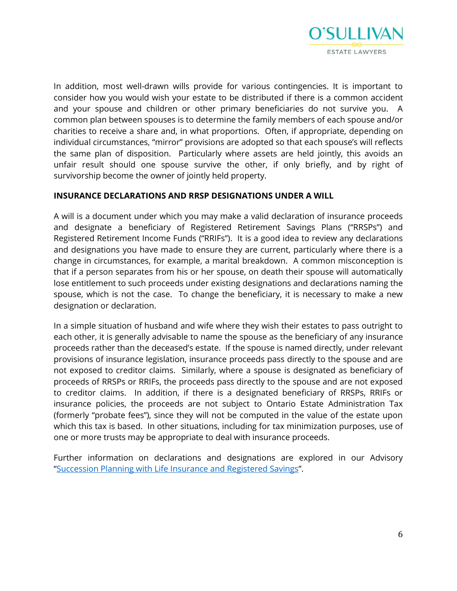

In addition, most well-drawn wills provide for various contingencies. It is important to consider how you would wish your estate to be distributed if there is a common accident and your spouse and children or other primary beneficiaries do not survive you. A common plan between spouses is to determine the family members of each spouse and/or charities to receive a share and, in what proportions. Often, if appropriate, depending on individual circumstances, "mirror" provisions are adopted so that each spouse's will reflects the same plan of disposition. Particularly where assets are held jointly, this avoids an unfair result should one spouse survive the other, if only briefly, and by right of survivorship become the owner of jointly held property.

#### **INSURANCE DECLARATIONS AND RRSP DESIGNATIONS UNDER A WILL**

A will is a document under which you may make a valid declaration of insurance proceeds and designate a beneficiary of Registered Retirement Savings Plans ("RRSPs") and Registered Retirement Income Funds ("RRIFs"). It is a good idea to review any declarations and designations you have made to ensure they are current, particularly where there is a change in circumstances, for example, a marital breakdown. A common misconception is that if a person separates from his or her spouse, on death their spouse will automatically lose entitlement to such proceeds under existing designations and declarations naming the spouse, which is not the case. To change the beneficiary, it is necessary to make a new designation or declaration.

In a simple situation of husband and wife where they wish their estates to pass outright to each other, it is generally advisable to name the spouse as the beneficiary of any insurance proceeds rather than the deceased's estate. If the spouse is named directly, under relevant provisions of insurance legislation, insurance proceeds pass directly to the spouse and are not exposed to creditor claims. Similarly, where a spouse is designated as beneficiary of proceeds of RRSPs or RRIFs, the proceeds pass directly to the spouse and are not exposed to creditor claims. In addition, if there is a designated beneficiary of RRSPs, RRIFs or insurance policies, the proceeds are not subject to Ontario Estate Administration Tax (formerly "probate fees"), since they will not be computed in the value of the estate upon which this tax is based. In other situations, including for tax minimization purposes, use of one or more trusts may be appropriate to deal with insurance proceeds.

Further information on declarations and designations are explored in our Advisory "[Succession Planning with Life Insurance and Registered Savings](https://www.osullivanlaw.com/wp-content/uploads/2020/02/Succession-Planning-With-Life-Insurance-And-Registered-Savings.pdf)".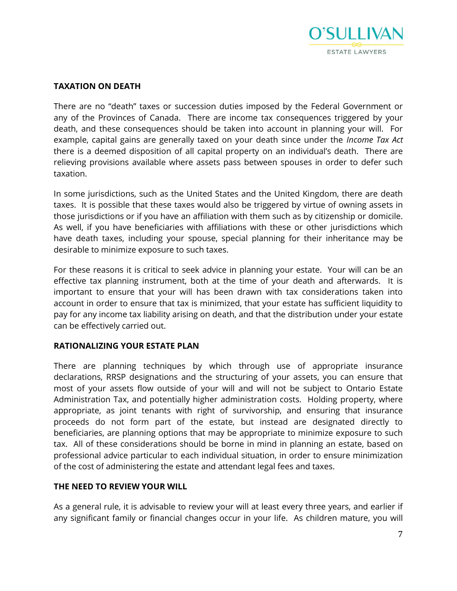

#### **TAXATION ON DEATH**

There are no "death" taxes or succession duties imposed by the Federal Government or any of the Provinces of Canada. There are income tax consequences triggered by your death, and these consequences should be taken into account in planning your will. For example, capital gains are generally taxed on your death since under the *Income Tax Act* there is a deemed disposition of all capital property on an individual's death. There are relieving provisions available where assets pass between spouses in order to defer such taxation.

In some jurisdictions, such as the United States and the United Kingdom, there are death taxes. It is possible that these taxes would also be triggered by virtue of owning assets in those jurisdictions or if you have an affiliation with them such as by citizenship or domicile. As well, if you have beneficiaries with affiliations with these or other jurisdictions which have death taxes, including your spouse, special planning for their inheritance may be desirable to minimize exposure to such taxes.

For these reasons it is critical to seek advice in planning your estate. Your will can be an effective tax planning instrument, both at the time of your death and afterwards. It is important to ensure that your will has been drawn with tax considerations taken into account in order to ensure that tax is minimized, that your estate has sufficient liquidity to pay for any income tax liability arising on death, and that the distribution under your estate can be effectively carried out.

#### **RATIONALIZING YOUR ESTATE PLAN**

There are planning techniques by which through use of appropriate insurance declarations, RRSP designations and the structuring of your assets, you can ensure that most of your assets flow outside of your will and will not be subject to Ontario Estate Administration Tax, and potentially higher administration costs. Holding property, where appropriate, as joint tenants with right of survivorship, and ensuring that insurance proceeds do not form part of the estate, but instead are designated directly to beneficiaries, are planning options that may be appropriate to minimize exposure to such tax. All of these considerations should be borne in mind in planning an estate, based on professional advice particular to each individual situation, in order to ensure minimization of the cost of administering the estate and attendant legal fees and taxes.

#### **THE NEED TO REVIEW YOUR WILL**

As a general rule, it is advisable to review your will at least every three years, and earlier if any significant family or financial changes occur in your life. As children mature, you will